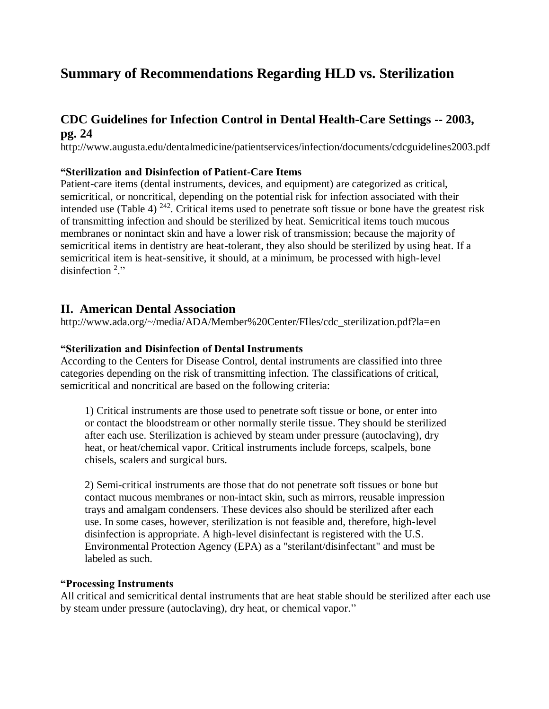# **Summary of Recommendations Regarding HLD vs. Sterilization**

# **CDC Guidelines for Infection Control in Dental Health-Care Settings -- 2003, pg. 24**

http://www.augusta.edu/dentalmedicine/patientservices/infection/documents/cdcguidelines2003.pdf

### **"Sterilization and Disinfection of Patient-Care Items**

Patient-care items (dental instruments, devices, and equipment) are categorized as critical, semicritical, or noncritical, depending on the potential risk for infection associated with their intended use (Table 4)  $^{242}$ . Critical items used to penetrate soft tissue or bone have the greatest risk of transmitting infection and should be sterilized by heat. Semicritical items touch mucous membranes or nonintact skin and have a lower risk of transmission; because the majority of semicritical items in dentistry are heat-tolerant, they also should be sterilized by using heat. If a semicritical item is heat-sensitive, it should, at a minimum, be processed with high-level disinfection<sup>2</sup>."

## **II. American Dental Association**

http://www.ada.org/~/media/ADA/Member%20Center/FIles/cdc\_sterilization.pdf?la=en

#### **"Sterilization and Disinfection of Dental Instruments**

According to the Centers for Disease Control, dental instruments are classified into three categories depending on the risk of transmitting infection. The classifications of critical, semicritical and noncritical are based on the following criteria:

1) Critical instruments are those used to penetrate soft tissue or bone, or enter into or contact the bloodstream or other normally sterile tissue. They should be sterilized after each use. Sterilization is achieved by steam under pressure (autoclaving), dry heat, or heat/chemical vapor. Critical instruments include forceps, scalpels, bone chisels, scalers and surgical burs.

2) Semi-critical instruments are those that do not penetrate soft tissues or bone but contact mucous membranes or non-intact skin, such as mirrors, reusable impression trays and amalgam condensers. These devices also should be sterilized after each use. In some cases, however, sterilization is not feasible and, therefore, high-level disinfection is appropriate. A high-level disinfectant is registered with the U.S. Environmental Protection Agency (EPA) as a "sterilant/disinfectant" and must be labeled as such.

#### **"Processing Instruments**

All critical and semicritical dental instruments that are heat stable should be sterilized after each use by steam under pressure (autoclaving), dry heat, or chemical vapor."